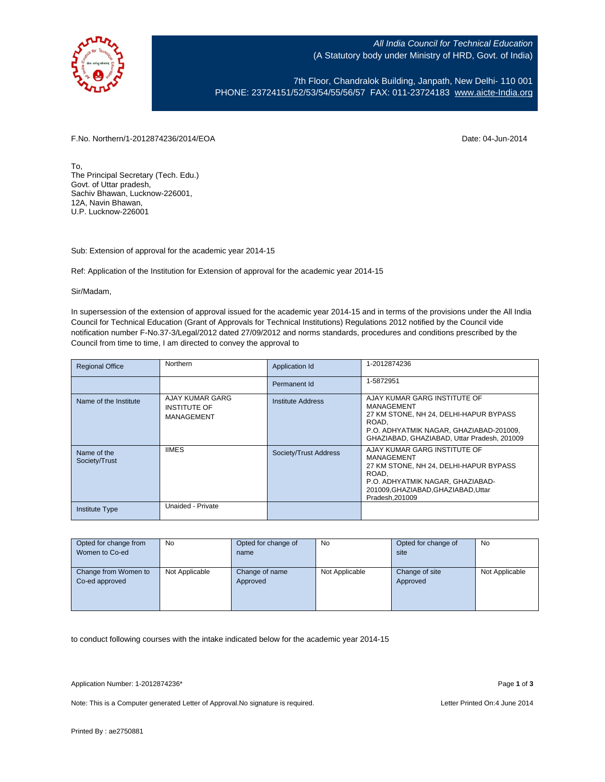

All India Council for Technical Education (A Statutory body under Ministry of HRD, Govt. of India)

7th Floor, Chandralok Building, Janpath, New Delhi- 110 001 PHONE: 23724151/52/53/54/55/56/57 FAX: 011-23724183 [www.aicte-India.org](http://www.aicte-india.org/)

F.No. Northern/1-2012874236/2014/EOA Date: 04-Jun-2014

To, The Principal Secretary (Tech. Edu.) Govt. of Uttar pradesh, Sachiv Bhawan, Lucknow-226001, 12A, Navin Bhawan, U.P. Lucknow-226001

Sub: Extension of approval for the academic year 2014-15

Ref: Application of the Institution for Extension of approval for the academic year 2014-15

Sir/Madam,

In supersession of the extension of approval issued for the academic year 2014-15 and in terms of the provisions under the All India Council for Technical Education (Grant of Approvals for Technical Institutions) Regulations 2012 notified by the Council vide notification number F-No.37-3/Legal/2012 dated 27/09/2012 and norms standards, procedures and conditions prescribed by the Council from time to time, I am directed to convey the approval to

| <b>Regional Office</b>       | Northern                                             | Application Id           | 1-2012874236                                                                                                                                                                               |  |
|------------------------------|------------------------------------------------------|--------------------------|--------------------------------------------------------------------------------------------------------------------------------------------------------------------------------------------|--|
|                              |                                                      | Permanent Id             | 1-5872951                                                                                                                                                                                  |  |
| Name of the Institute        | AJAY KUMAR GARG<br><b>INSTITUTE OF</b><br>MANAGEMENT | <b>Institute Address</b> | AJAY KUMAR GARG INSTITUTE OF<br>MANAGEMENT<br>27 KM STONE, NH 24, DELHI-HAPUR BYPASS<br>ROAD.<br>P.O. ADHYATMIK NAGAR, GHAZIABAD-201009,<br>GHAZIABAD, GHAZIABAD, Uttar Pradesh, 201009    |  |
| Name of the<br>Society/Trust | <b>IIMES</b>                                         | Society/Trust Address    | AJAY KUMAR GARG INSTITUTE OF<br>MANAGEMENT<br>27 KM STONE, NH 24, DELHI-HAPUR BYPASS<br>ROAD,<br>P.O. ADHYATMIK NAGAR, GHAZIABAD-<br>201009, GHAZIABAD, GHAZIABAD, Uttar<br>Pradesh.201009 |  |
| <b>Institute Type</b>        | Unaided - Private                                    |                          |                                                                                                                                                                                            |  |

| Opted for change from | No             | Opted for change of | No             | Opted for change of | No             |
|-----------------------|----------------|---------------------|----------------|---------------------|----------------|
| Women to Co-ed        |                | name                |                | site                |                |
|                       |                |                     |                |                     |                |
| Change from Women to  | Not Applicable | Change of name      | Not Applicable | Change of site      | Not Applicable |
| Co-ed approved        |                | Approved            |                | Approved            |                |
|                       |                |                     |                |                     |                |
|                       |                |                     |                |                     |                |
|                       |                |                     |                |                     |                |

to conduct following courses with the intake indicated below for the academic year 2014-15

Application Number: 1-2012874236\* Page **1** of **3**

Note: This is a Computer generated Letter of Approval. No signature is required. Letter Printed On:4 June 2014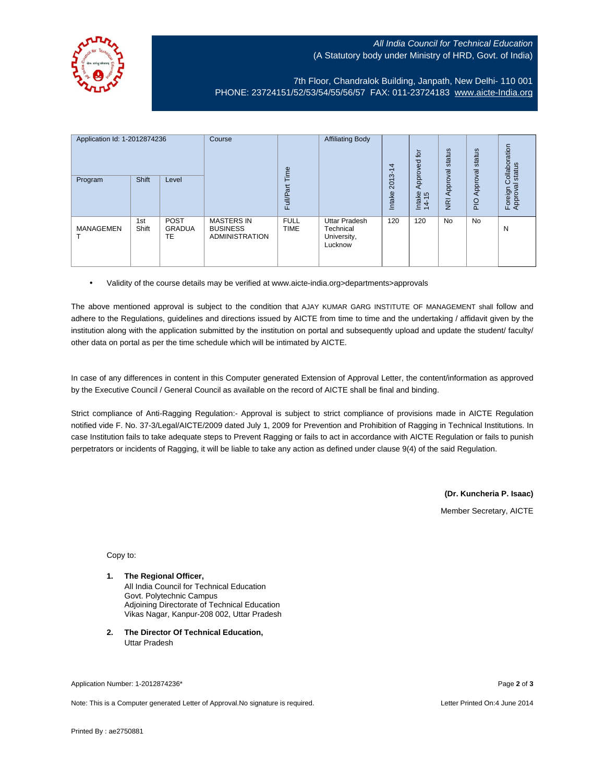## All India Council for Technical Education (A Statutory body under Ministry of HRD, Govt. of India)



7th Floor, Chandralok Building, Janpath, New Delhi- 110 001 PHONE: 23724151/52/53/54/55/56/57 FAX: 011-23724183 [www.aicte-India.org](http://www.aicte-india.org/)

| Application Id: 1-2012874236<br>Program | <b>Shift</b> | Level                              | Course                                                        | Time<br>Full/Part          | <b>Affiliating Body</b>                              | 4<br>ᡪ<br>2013-<br>Intake | 흐<br>59<br>Approve<br>Intake<br>14-15 | status<br>Approval<br>$\overline{g}$ | status<br>Approval<br><b>DId</b> | ollaboration<br>status<br>Ō<br>Foreign C<br>Approval |
|-----------------------------------------|--------------|------------------------------------|---------------------------------------------------------------|----------------------------|------------------------------------------------------|---------------------------|---------------------------------------|--------------------------------------|----------------------------------|------------------------------------------------------|
| <b>MANAGEMEN</b>                        | 1st<br>Shift | <b>POST</b><br><b>GRADUA</b><br>TE | <b>MASTERS IN</b><br><b>BUSINESS</b><br><b>ADMINISTRATION</b> | <b>FULL</b><br><b>TIME</b> | Uttar Pradesh<br>Technical<br>University,<br>Lucknow | 120                       | 120                                   | <b>No</b>                            | <b>No</b>                        | N                                                    |

• Validity of the course details may be verified at www.aicte-india.org>departments>approvals

The above mentioned approval is subject to the condition that AJAY KUMAR GARG INSTITUTE OF MANAGEMENT shall follow and adhere to the Regulations, guidelines and directions issued by AICTE from time to time and the undertaking / affidavit given by the institution along with the application submitted by the institution on portal and subsequently upload and update the student/ faculty/ other data on portal as per the time schedule which will be intimated by AICTE.

In case of any differences in content in this Computer generated Extension of Approval Letter, the content/information as approved by the Executive Council / General Council as available on the record of AICTE shall be final and binding.

Strict compliance of Anti-Ragging Regulation:- Approval is subject to strict compliance of provisions made in AICTE Regulation notified vide F. No. 37-3/Legal/AICTE/2009 dated July 1, 2009 for Prevention and Prohibition of Ragging in Technical Institutions. In case Institution fails to take adequate steps to Prevent Ragging or fails to act in accordance with AICTE Regulation or fails to punish perpetrators or incidents of Ragging, it will be liable to take any action as defined under clause 9(4) of the said Regulation.

> **(Dr. Kuncheria P. Isaac)** Member Secretary, AICTE

Copy to:

- **1. The Regional Officer,** All India Council for Technical Education Govt. Polytechnic Campus Adjoining Directorate of Technical Education Vikas Nagar, Kanpur-208 002, Uttar Pradesh
- **2. The Director Of Technical Education,** Uttar Pradesh

Application Number: 1-2012874236\* Page **2** of **3**

Note: This is a Computer generated Letter of Approval.No signature is required. Letter Printed On:4 June 2014